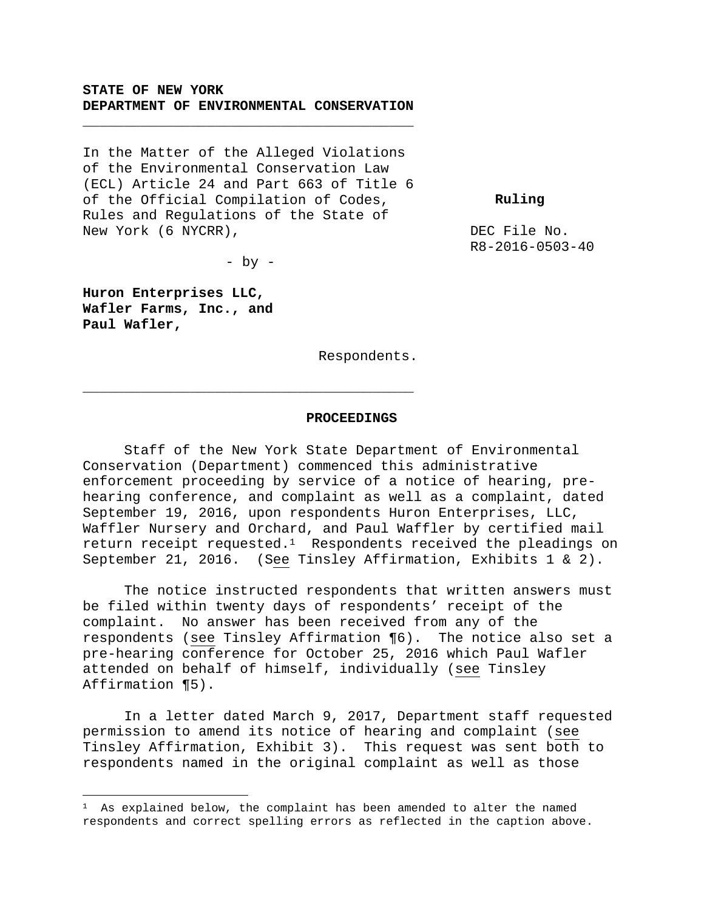### **STATE OF NEW YORK DEPARTMENT OF ENVIRONMENTAL CONSERVATION**

**\_\_\_\_\_\_\_\_\_\_\_\_\_\_\_\_\_\_\_\_\_\_\_\_\_\_\_\_\_\_\_\_\_\_\_\_\_\_\_\_** 

In the Matter of the Alleged Violations of the Environmental Conservation Law (ECL) Article 24 and Part 663 of Title 6 of the Official Compilation of Codes, Rules and Regulations of the State of New York (6 NYCRR),

 **Ruling** 

DEC File No. R8-2016-0503-40

 $-$  by  $-$ 

**\_\_\_\_\_\_\_\_\_\_\_\_\_\_\_\_\_\_\_\_\_\_\_\_\_\_\_\_\_\_\_\_\_\_\_\_\_\_\_\_** 

**Huron Enterprises LLC, Wafler Farms, Inc., and Paul Wafler,**

i<br>Li

Respondents.

#### **PROCEEDINGS**

Staff of the New York State Department of Environmental Conservation (Department) commenced this administrative enforcement proceeding by service of a notice of hearing, prehearing conference, and complaint as well as a complaint, dated September 19, 2016, upon respondents Huron Enterprises, LLC, Waffler Nursery and Orchard, and Paul Waffler by certified mail return receipt requested.<sup>1</sup> Respondents received the pleadings on September 21, 2016. (See Tinsley Affirmation, Exhibits 1 & 2).

The notice instructed respondents that written answers must be filed within twenty days of respondents' receipt of the complaint. No answer has been received from any of the respondents (see Tinsley Affirmation ¶6). The notice also set a pre-hearing conference for October 25, 2016 which Paul Wafler attended on behalf of himself, individually (see Tinsley Affirmation ¶5).

In a letter dated March 9, 2017, Department staff requested permission to amend its notice of hearing and complaint (see Tinsley Affirmation, Exhibit 3). This request was sent both to respondents named in the original complaint as well as those

<sup>1</sup> As explained below, the complaint has been amended to alter the named respondents and correct spelling errors as reflected in the caption above.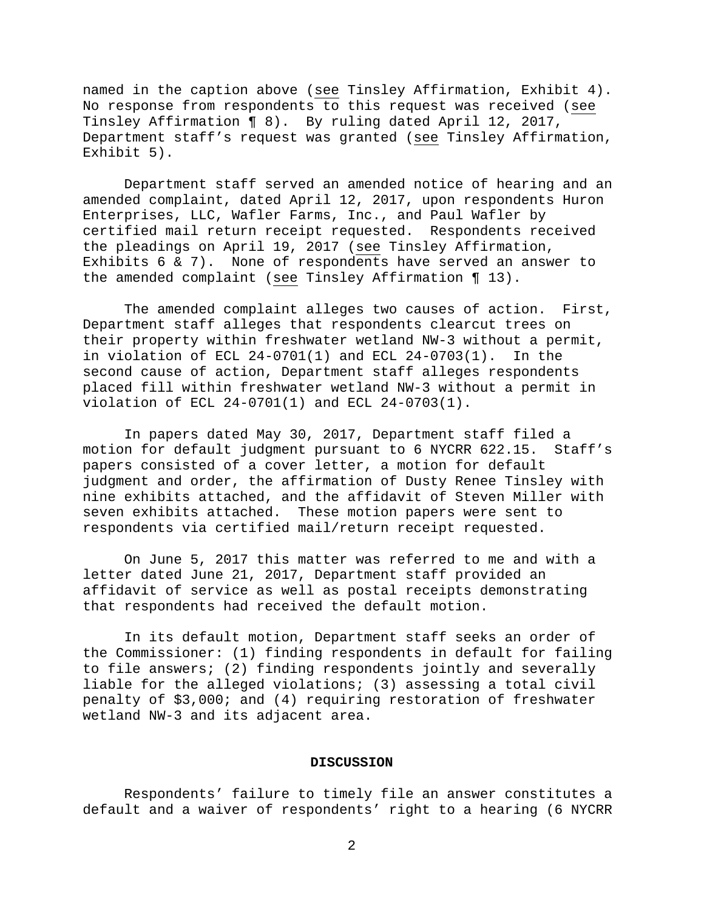named in the caption above (see Tinsley Affirmation, Exhibit 4). No response from respondents to this request was received (see Tinsley Affirmation ¶ 8). By ruling dated April 12, 2017, Department staff's request was granted (see Tinsley Affirmation, Exhibit 5).

Department staff served an amended notice of hearing and an amended complaint, dated April 12, 2017, upon respondents Huron Enterprises, LLC, Wafler Farms, Inc., and Paul Wafler by certified mail return receipt requested. Respondents received the pleadings on April 19, 2017 (see Tinsley Affirmation, Exhibits 6 & 7). None of respondents have served an answer to the amended complaint (see Tinsley Affirmation ¶ 13).

The amended complaint alleges two causes of action. First, Department staff alleges that respondents clearcut trees on their property within freshwater wetland NW-3 without a permit, in violation of ECL 24-0701(1) and ECL 24-0703(1). In the second cause of action, Department staff alleges respondents placed fill within freshwater wetland NW-3 without a permit in violation of ECL 24-0701(1) and ECL 24-0703(1).

In papers dated May 30, 2017, Department staff filed a motion for default judgment pursuant to 6 NYCRR 622.15. Staff's papers consisted of a cover letter, a motion for default judgment and order, the affirmation of Dusty Renee Tinsley with nine exhibits attached, and the affidavit of Steven Miller with seven exhibits attached. These motion papers were sent to respondents via certified mail/return receipt requested.

On June 5, 2017 this matter was referred to me and with a letter dated June 21, 2017, Department staff provided an affidavit of service as well as postal receipts demonstrating that respondents had received the default motion.

In its default motion, Department staff seeks an order of the Commissioner: (1) finding respondents in default for failing to file answers; (2) finding respondents jointly and severally liable for the alleged violations; (3) assessing a total civil penalty of \$3,000; and (4) requiring restoration of freshwater wetland NW-3 and its adjacent area.

#### **DISCUSSION**

Respondents' failure to timely file an answer constitutes a default and a waiver of respondents' right to a hearing (6 NYCRR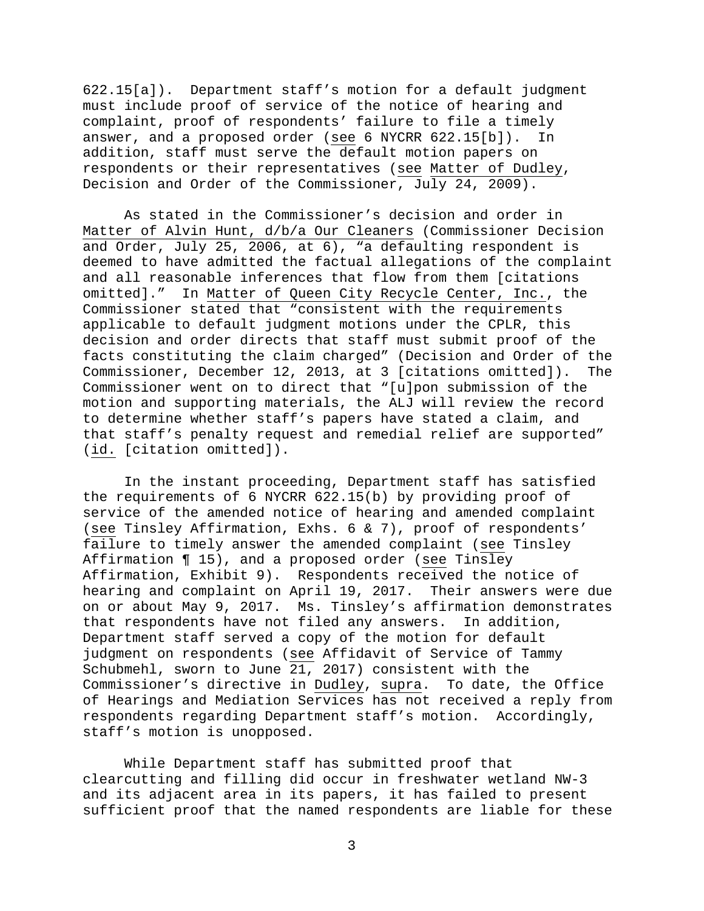622.15[a]). Department staff's motion for a default judgment must include proof of service of the notice of hearing and complaint, proof of respondents' failure to file a timely answer, and a proposed order (see 6 NYCRR 622.15[b]). In addition, staff must serve the default motion papers on respondents or their representatives (see Matter of Dudley, Decision and Order of the Commissioner, July 24, 2009).

 As stated in the Commissioner's decision and order in Matter of Alvin Hunt, d/b/a Our Cleaners (Commissioner Decision and Order, July 25, 2006, at 6), "a defaulting respondent is deemed to have admitted the factual allegations of the complaint and all reasonable inferences that flow from them [citations omitted]." In Matter of Queen City Recycle Center, Inc., the Commissioner stated that "consistent with the requirements applicable to default judgment motions under the CPLR, this decision and order directs that staff must submit proof of the facts constituting the claim charged" (Decision and Order of the Commissioner, December 12, 2013, at 3 [citations omitted]). The Commissioner went on to direct that "[u]pon submission of the motion and supporting materials, the ALJ will review the record to determine whether staff's papers have stated a claim, and that staff's penalty request and remedial relief are supported" (id. [citation omitted]).

In the instant proceeding, Department staff has satisfied the requirements of 6 NYCRR 622.15(b) by providing proof of service of the amended notice of hearing and amended complaint (see Tinsley Affirmation, Exhs. 6 & 7), proof of respondents' failure to timely answer the amended complaint (see Tinsley Affirmation ¶ 15), and a proposed order (see Tinsley Affirmation, Exhibit 9). Respondents received the notice of hearing and complaint on April 19, 2017. Their answers were due on or about May 9, 2017. Ms. Tinsley's affirmation demonstrates that respondents have not filed any answers. In addition, Department staff served a copy of the motion for default judgment on respondents (see Affidavit of Service of Tammy Schubmehl, sworn to June 21, 2017) consistent with the Commissioner's directive in Dudley, supra. To date, the Office of Hearings and Mediation Services has not received a reply from respondents regarding Department staff's motion. Accordingly, staff's motion is unopposed.

While Department staff has submitted proof that clearcutting and filling did occur in freshwater wetland NW-3 and its adjacent area in its papers, it has failed to present sufficient proof that the named respondents are liable for these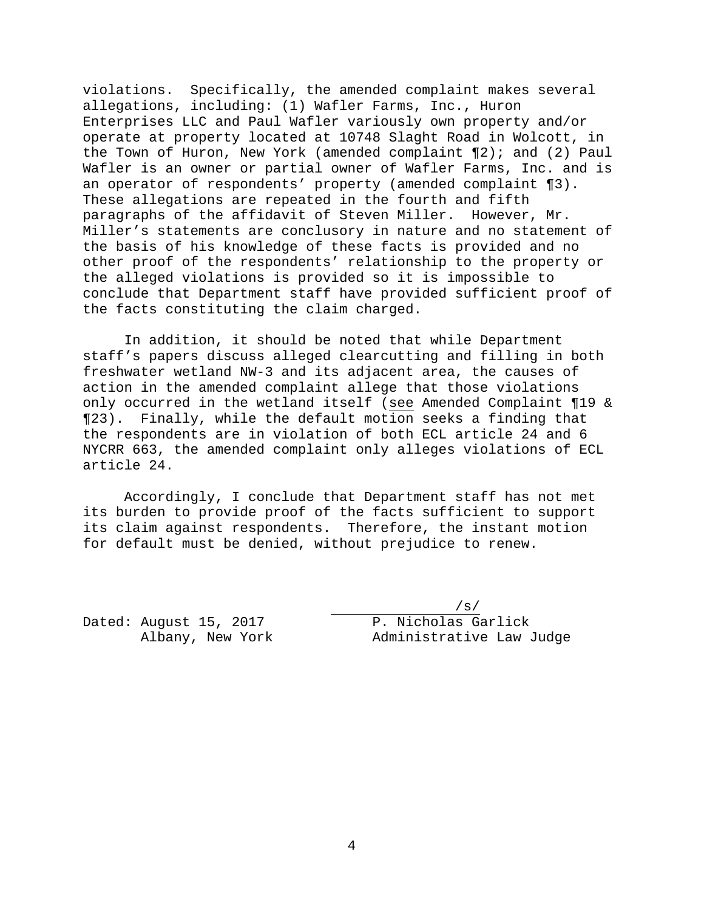violations. Specifically, the amended complaint makes several allegations, including: (1) Wafler Farms, Inc., Huron Enterprises LLC and Paul Wafler variously own property and/or operate at property located at 10748 Slaght Road in Wolcott, in the Town of Huron, New York (amended complaint ¶2); and (2) Paul Wafler is an owner or partial owner of Wafler Farms, Inc. and is an operator of respondents' property (amended complaint ¶3). These allegations are repeated in the fourth and fifth paragraphs of the affidavit of Steven Miller. However, Mr. Miller's statements are conclusory in nature and no statement of the basis of his knowledge of these facts is provided and no other proof of the respondents' relationship to the property or the alleged violations is provided so it is impossible to conclude that Department staff have provided sufficient proof of the facts constituting the claim charged.

In addition, it should be noted that while Department staff's papers discuss alleged clearcutting and filling in both freshwater wetland NW-3 and its adjacent area, the causes of action in the amended complaint allege that those violations only occurred in the wetland itself (see Amended Complaint ¶19 & ¶23). Finally, while the default motion seeks a finding that the respondents are in violation of both ECL article 24 and 6 NYCRR 663, the amended complaint only alleges violations of ECL article 24.

Accordingly, I conclude that Department staff has not met its burden to provide proof of the facts sufficient to support its claim against respondents. Therefore, the instant motion for default must be denied, without prejudice to renew.

Dated: August 15, 2017 P. Nicholas Garlick<br>Albany, New York Administrative Law

 $/s/$ Administrative Law Judge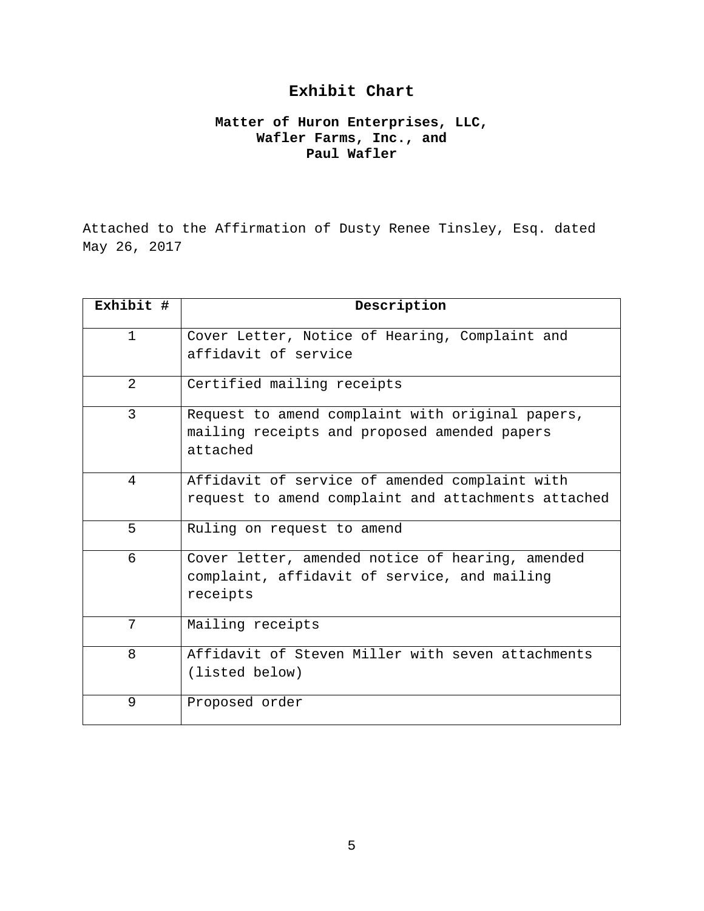# **Exhibit Chart**

## **Matter of Huron Enterprises, LLC, Wafler Farms, Inc., and Paul Wafler**

Attached to the Affirmation of Dusty Renee Tinsley, Esq. dated May 26, 2017

| Exhibit #      | Description                                                            |
|----------------|------------------------------------------------------------------------|
| $\mathbf{1}$   | Cover Letter, Notice of Hearing, Complaint and<br>affidavit of service |
|                |                                                                        |
| $\overline{2}$ | Certified mailing receipts                                             |
| $\overline{3}$ | Request to amend complaint with original papers,                       |
|                | mailing receipts and proposed amended papers                           |
|                | attached                                                               |
| 4              | Affidavit of service of amended complaint with                         |
|                | request to amend complaint and attachments attached                    |
| 5              | Ruling on request to amend                                             |
| 6              | Cover letter, amended notice of hearing, amended                       |
|                | complaint, affidavit of service, and mailing                           |
|                | receipts                                                               |
| 7              | Mailing receipts                                                       |
| 8              | Affidavit of Steven Miller with seven attachments                      |
|                | (listed below)                                                         |
| 9              | Proposed order                                                         |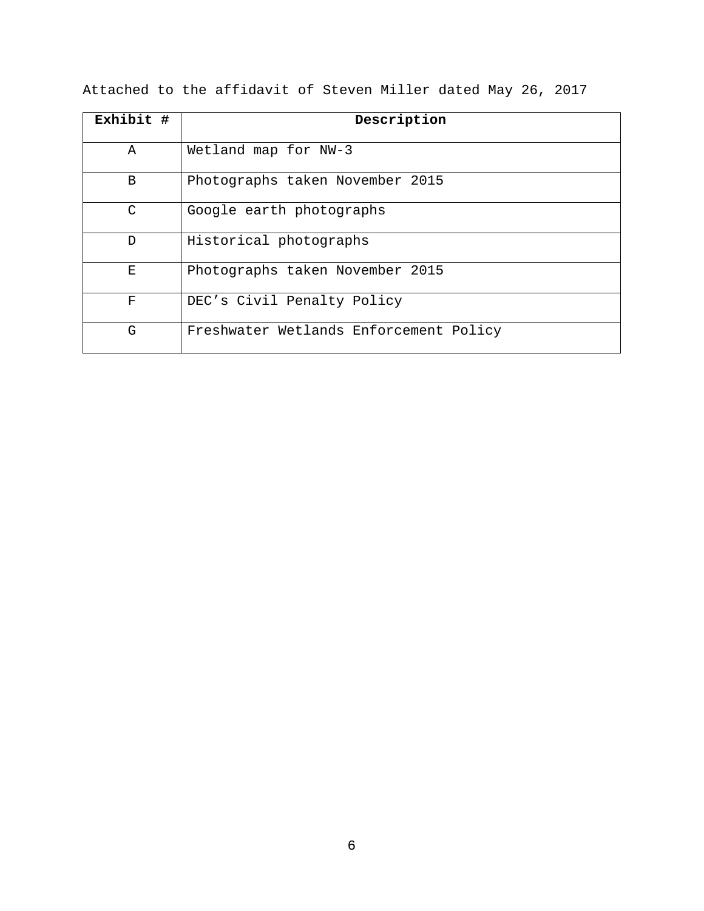| Exhibit # | Description                            |
|-----------|----------------------------------------|
|           |                                        |
| A         | Wetland map for NW-3                   |
| B         | Photographs taken November 2015        |
| $\cap$    | Google earth photographs               |
| D         | Historical photographs                 |
| Е         | Photographs taken November 2015        |
| F         | DEC's Civil Penalty Policy             |
| G         | Freshwater Wetlands Enforcement Policy |

Attached to the affidavit of Steven Miller dated May 26, 2017